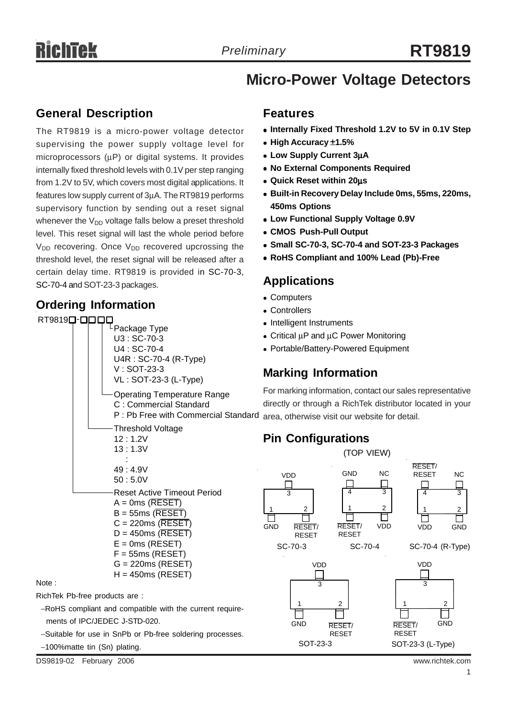# **Micro-Power Voltage Detectors**

#### **General Description**

The RT9819 is a micro-power voltage detector supervising the power supply voltage level for microprocessors (μP) or digital systems. It provides internally fixed threshold levels with 0.1V per step ranging from 1.2V to 5V, which covers most digital applications. It features low supply current of 3μA. The RT9819 performs supervisory function by sending out a reset signal whenever the  $V_{DD}$  voltage falls below a preset threshold level. This reset signal will last the whole period before  $V_{DD}$  recovering. Once  $V_{DD}$  recovered upcrossing the threshold level, the reset signal will be released after a certain delay time. RT9819 is provided in SC-70-3, SC-70-4 and SOT-23-3 packages.

#### **Ordering Information**



−Suitable for use in SnPb or Pb-free soldering processes.

#### **Features**

- Internally Fixed Threshold 1.2V to 5V in 0.1V Step
- <sup>z</sup> **High Accuracy** ±**1.5%**
- <sup>z</sup> **Low Supply Current 3**μ**A**
- **No External Components Required**
- <sup>z</sup> **Quick Reset within 20**μ**s**
- <sup>z</sup> **Built-in Recovery Delay Include 0ms, 55ms, 220ms, 450ms Options**
- **Low Functional Supply Voltage 0.9V**
- <sup>z</sup> **CMOS Push-Pull Output**
- <sup>z</sup> **Small SC-70-3, SC-70-4 and SOT-23-3 Packages**
- <sup>z</sup> **RoHS Compliant and 100% Lead (Pb)-Free**

#### **Applications**

- Computers
- Controllers
- Intelligent Instruments
- Critical μP and μC Power Monitoring
- Portable/Battery-Powered Equipment

## **Marking Information**

For marking information, contact our sales representative directly or through a RichTek distributor located in your area, otherwise visit our website for detail.

## **Pin Configurations**

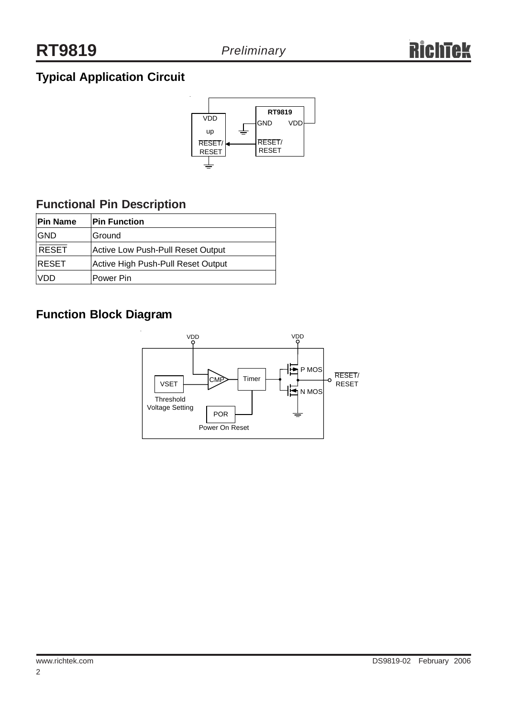# **Typical Application Circuit**



## **Functional Pin Description**

| <b>IPin Name</b> | <b>Pin Function</b>                |
|------------------|------------------------------------|
| <b>GND</b>       | Ground                             |
| <b>RESET</b>     | Active Low Push-Pull Reset Output  |
| <b>RESET</b>     | Active High Push-Pull Reset Output |
| VDD              | lPower Pin                         |

## **Function Block Diagram**

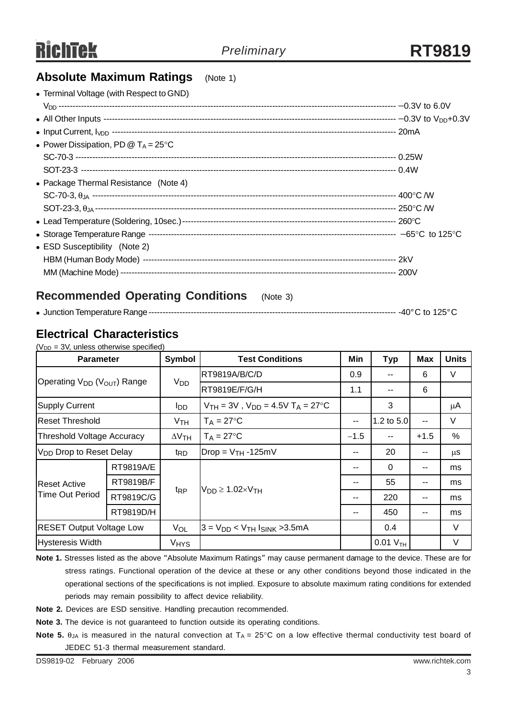#### **Absolute Maximum Ratings** (Note 1)

| • Terminal Voltage (with Respect to GND)                       |  |
|----------------------------------------------------------------|--|
|                                                                |  |
|                                                                |  |
|                                                                |  |
| • Power Dissipation, PD $@$ T <sub>A</sub> = 25 <sup>°</sup> C |  |
|                                                                |  |
|                                                                |  |
| • Package Thermal Resistance (Note 4)                          |  |
|                                                                |  |
|                                                                |  |
|                                                                |  |
|                                                                |  |
| • ESD Susceptibility (Note 2)                                  |  |
|                                                                |  |
|                                                                |  |
|                                                                |  |

#### **Recommended Operating Conditions** (Note 3)

#### <sup>z</sup> Junction Temperature Range---------------------------------------------------------------------------------------- -40°C to 125°C

## **Electrical Characteristics**

 $(V_{DD} = 3V$ , unless otherwise specified)

| <b>Parameter</b>                                    |           | Symbol                | <b>Test Conditions</b>                                             | Min                                      | <b>Typ</b>    | <b>Max</b> | <b>Units</b> |
|-----------------------------------------------------|-----------|-----------------------|--------------------------------------------------------------------|------------------------------------------|---------------|------------|--------------|
| Operating V <sub>DD</sub> (V <sub>OUT</sub> ) Range |           | <b>V<sub>DD</sub></b> | <b>RT9819A/B/C/D</b>                                               | 0.9                                      |               | 6          | V            |
|                                                     |           |                       | RT9819E/F/G/H                                                      | 1.1                                      | $-$           | 6          |              |
| <b>Supply Current</b>                               |           | l <sub>DD</sub>       | $V_{TH} = 3V$ , $V_{DD} = 4.5V$ T <sub>A</sub> = 27 <sup>°</sup> C |                                          | 3             |            | μA           |
| <b>Reset Threshold</b>                              |           | V <sub>TH</sub>       | $T_A = 27$ °C                                                      | 1.2 to $5.0$<br>$\overline{\phantom{a}}$ |               | $-$        | V            |
| <b>Threshold Voltage Accuracy</b>                   |           | $\Delta V$ TH         | $T_A = 27$ °C                                                      | $-1.5$                                   | $- -$         | $+1.5$     | %            |
| V <sub>DD</sub> Drop to Reset Delay                 |           | t <sub>RD</sub>       | $Drop = V_{TH} - 125mV$                                            | 20<br>--<br>--                           |               |            | μS           |
|                                                     | RT9819A/E |                       | $V_{DD} \geq 1.02 \times V_{TH}$                                   | --                                       | $\Omega$      | --         | ms           |
| <b>Reset Active</b>                                 | RT9819B/F |                       |                                                                    | --                                       | 55            | --         | ms           |
| Time Out Period                                     | RT9819C/G | t <sub>RP</sub>       |                                                                    | --                                       | 220           | --         | ms           |
|                                                     | RT9819D/H |                       |                                                                    |                                          | 450           | --         | ms           |
| <b>RESET Output Voltage Low</b>                     |           | VOL                   | $3 = V_{DD}$ < $V_{TH}$ $I_{SINK}$ > 3.5 mA                        |                                          | 0.4           |            | V            |
| <b>Hysteresis Width</b><br><b>V<sub>HYS</sub></b>   |           |                       |                                                                    |                                          | $0.01 V_{TH}$ |            | V            |

**Note 1.** Stresses listed as the above "Absolute Maximum Ratings" may cause permanent damage to the device. These are for stress ratings. Functional operation of the device at these or any other conditions beyond those indicated in the operational sections of the specifications is not implied. Exposure to absolute maximum rating conditions for extended periods may remain possibility to affect device reliability.

**Note 2.** Devices are ESD sensitive. Handling precaution recommended.

**Note 3.** The device is not guaranteed to function outside its operating conditions.

**Note 5.** θ<sub>JA</sub> is measured in the natural convection at T<sub>A</sub> = 25°C on a low effective thermal conductivity test board of JEDEC 51-3 thermal measurement standard.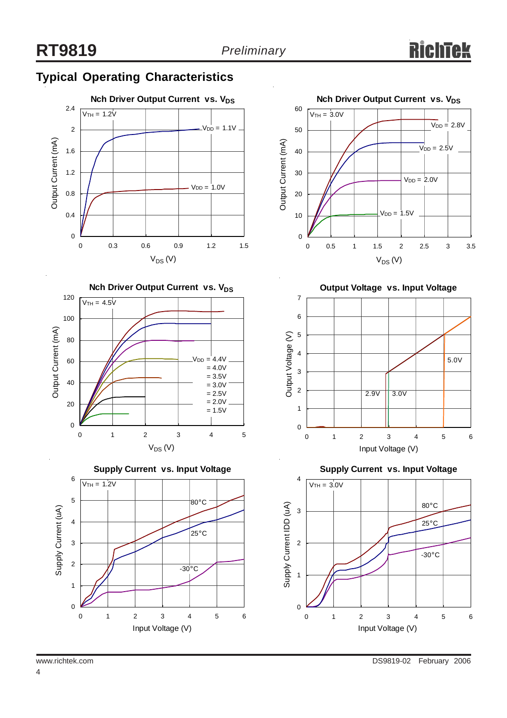# **Typical Operating Characteristics**









**Output Voltage vs. Input Voltage**



**Supply Current vs. Input Voltage**

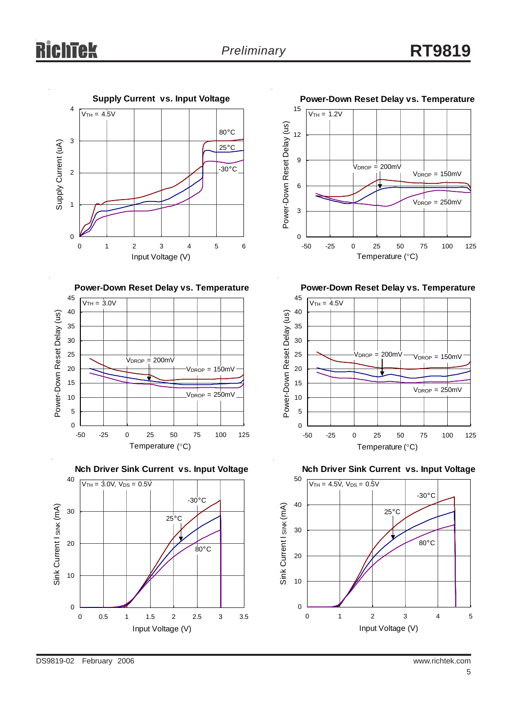# ichtek













**Power-Down Reset Delay vs. Temperature**



**Nch Driver Sink Current vs. Input Voltage**

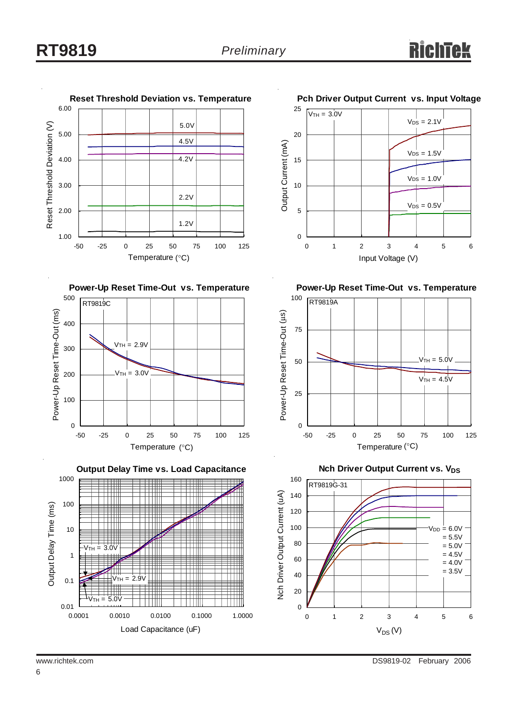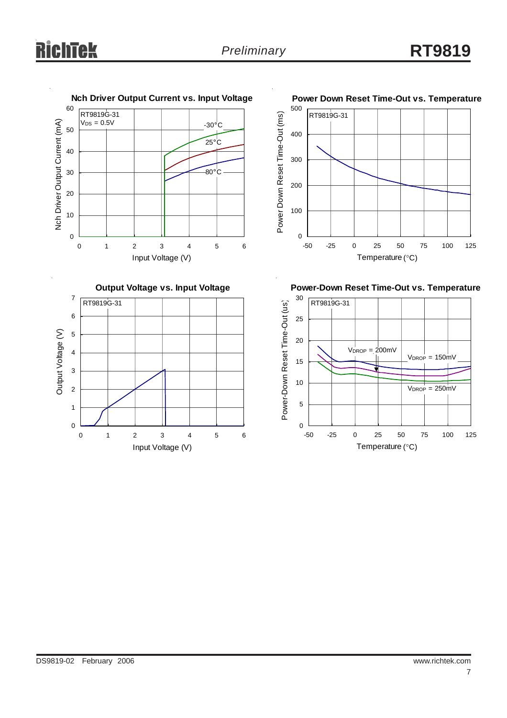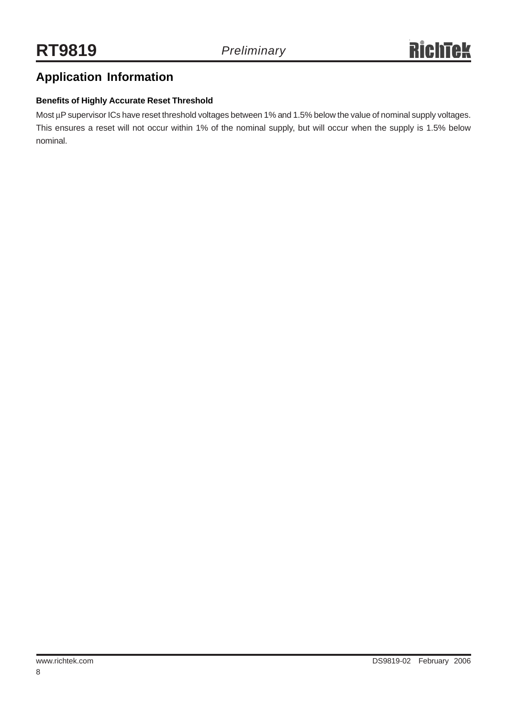## **Application Information**

#### **Benefits of Highly Accurate Reset Threshold**

Most μP supervisor ICs have reset threshold voltages between 1% and 1.5% below the value of nominal supply voltages. This ensures a reset will not occur within 1% of the nominal supply, but will occur when the supply is 1.5% below nominal.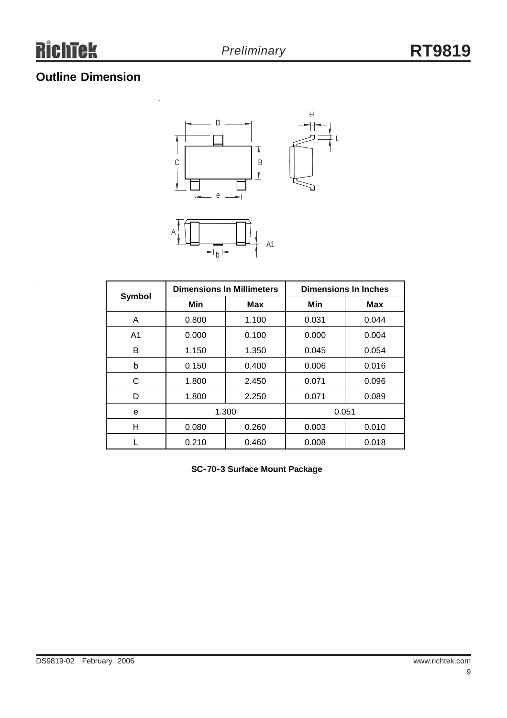# **Outline Dimension**

l,



L



| <b>Symbol</b>  | <b>Dimensions In Millimeters</b> |            | <b>Dimensions In Inches</b> |       |  |
|----------------|----------------------------------|------------|-----------------------------|-------|--|
|                | Min                              | <b>Max</b> | Min                         | Max   |  |
| A              | 0.800                            | 1.100      | 0.031                       | 0.044 |  |
| A <sub>1</sub> | 0.000                            | 0.100      | 0.000                       | 0.004 |  |
| B              | 1.150                            | 1.350      | 0.045                       | 0.054 |  |
| b              | 0.150                            | 0.400      | 0.006                       | 0.016 |  |
| С              | 1.800                            | 2.450      | 0.071                       | 0.096 |  |
| D              | 1.800                            | 2.250      | 0.071                       | 0.089 |  |
| е              | 1.300                            |            | 0.051                       |       |  |
| н              | 0.080                            | 0.260      | 0.003                       | 0.010 |  |
|                | 0.210                            | 0.460      | 0.008                       | 0.018 |  |

**SC-70-3 Surface Mount Package**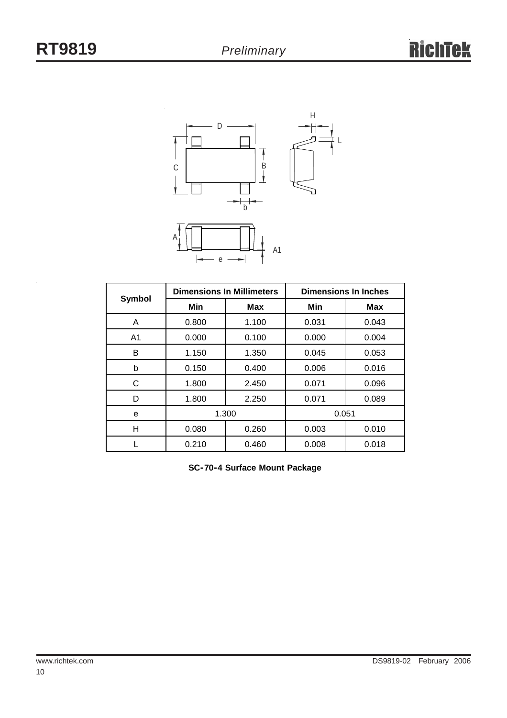

| Symbol         | <b>Dimensions In Millimeters</b> |       | <b>Dimensions In Inches</b> |            |  |
|----------------|----------------------------------|-------|-----------------------------|------------|--|
|                | Min                              | Max   | Min                         | <b>Max</b> |  |
| A              | 0.800                            | 1.100 | 0.031                       | 0.043      |  |
| A <sub>1</sub> | 0.000                            | 0.100 | 0.000                       | 0.004      |  |
| в              | 1.150                            | 1.350 | 0.045                       | 0.053      |  |
| b              | 0.150                            | 0.400 | 0.006                       | 0.016      |  |
| C              | 1.800                            | 2.450 | 0.071                       | 0.096      |  |
| D              | 1.800                            | 2.250 | 0.071                       | 0.089      |  |
| e              | 1.300                            |       | 0.051                       |            |  |
| н              | 0.080                            | 0.260 | 0.003                       | 0.010      |  |
|                | 0.210                            | 0.460 | 0.008                       | 0.018      |  |

**SC-70-4 Surface Mount Package**